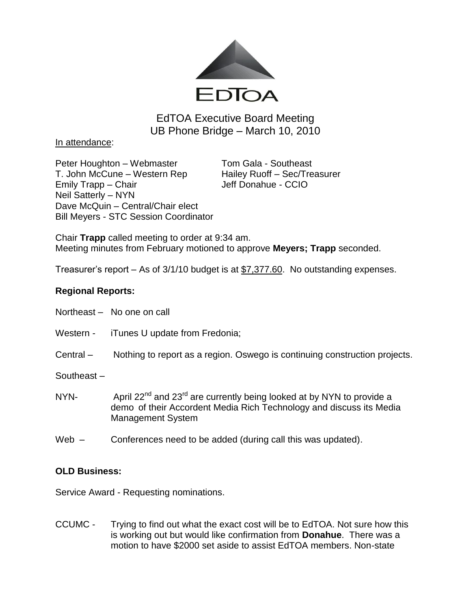

EdTOA Executive Board Meeting UB Phone Bridge – March 10, 2010

In attendance:

Peter Houghton – Webmaster Tom Gala - Southeast T. John McCune – Western Rep Hailey Ruoff – Sec/Treasurer Emily Trapp – Chair Grammann and Jeff Donahue - CCIO Neil Satterly – NYN Dave McQuin – Central/Chair elect Bill Meyers - STC Session Coordinator

Chair **Trapp** called meeting to order at 9:34 am. Meeting minutes from February motioned to approve **Meyers; Trapp** seconded.

Treasurer's report – As of 3/1/10 budget is at \$7,377.60. No outstanding expenses.

## **Regional Reports:**

- Northeast No one on call
- Western iTunes U update from Fredonia;
- Central Nothing to report as a region. Oswego is continuing construction projects.

Southeast –

- NYN- April  $22^{nd}$  and  $23^{rd}$  are currently being looked at by NYN to provide a demo of their Accordent Media Rich Technology and discuss its Media Management System
- Web Conferences need to be added (during call this was updated).

## **OLD Business:**

Service Award - Requesting nominations.

CCUMC - Trying to find out what the exact cost will be to EdTOA. Not sure how this is working out but would like confirmation from **Donahue**. There was a motion to have \$2000 set aside to assist EdTOA members. Non-state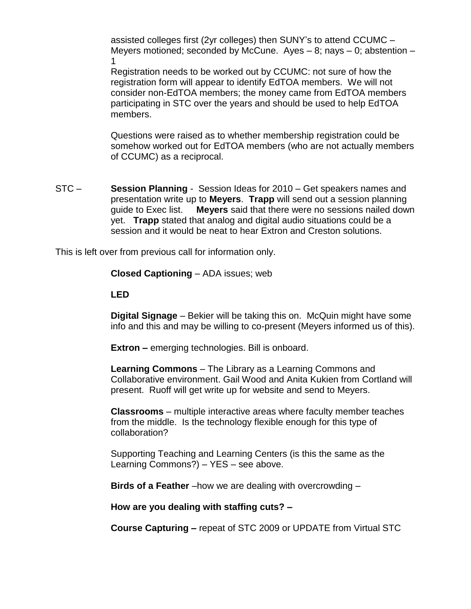assisted colleges first (2yr colleges) then SUNY's to attend CCUMC – Meyers motioned; seconded by McCune. Ayes  $-8$ ; nays  $-0$ ; abstention  $-$ 1

Registration needs to be worked out by CCUMC: not sure of how the registration form will appear to identify EdTOA members. We will not consider non-EdTOA members; the money came from EdTOA members participating in STC over the years and should be used to help EdTOA members.

Questions were raised as to whether membership registration could be somehow worked out for EdTOA members (who are not actually members of CCUMC) as a reciprocal.

STC – **Session Planning** - Session Ideas for 2010 – Get speakers names and presentation write up to **Meyers**. **Trapp** will send out a session planning guide to Exec list. **Meyers** said that there were no sessions nailed down yet. **Trapp** stated that analog and digital audio situations could be a session and it would be neat to hear Extron and Creston solutions.

This is left over from previous call for information only.

**Closed Captioning** – ADA issues; web

**LED** 

**Digital Signage** – Bekier will be taking this on. McQuin might have some info and this and may be willing to co-present (Meyers informed us of this).

**Extron –** emerging technologies. Bill is onboard.

**Learning Commons** – The Library as a Learning Commons and Collaborative environment. Gail Wood and Anita Kukien from Cortland will present. Ruoff will get write up for website and send to Meyers.

**Classrooms** – multiple interactive areas where faculty member teaches from the middle. Is the technology flexible enough for this type of collaboration?

Supporting Teaching and Learning Centers (is this the same as the Learning Commons?) – YES – see above.

**Birds of a Feather** –how we are dealing with overcrowding –

**How are you dealing with staffing cuts? –**

**Course Capturing –** repeat of STC 2009 or UPDATE from Virtual STC